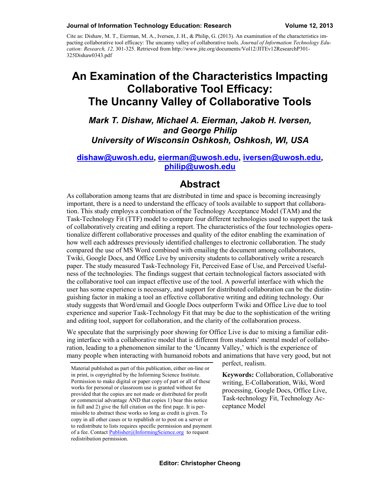#### **Journal of Information Technology Education: Research Volume 12, 2013**

Cite as: Dishaw, M. T., Eierman, M. A., Iversen, J. H., & Philip, G. (2013). An examination of the characteristics impacting collaborative tool efficacy: The uncanny valley of collaborative tools. *Journal of Information Technology Education: Research, 12,* 301-325. Retrieved from http://www.jite.org/documents/Vol12/JITEv12ResearchP301- 325Dishaw0343.pdf

# **An Examination of the Characteristics Impacting Collaborative Tool Efficacy: The Uncanny Valley of Collaborative Tools**

*Mark T. Dishaw, Michael A. Eierman, Jakob H. Iversen, and George Philip University of Wisconsin Oshkosh, Oshkosh, WI, USA*

#### **[dishaw@uwosh.edu,](mailto:dishaw@uwosh.edu) [eierman@uwosh.edu,](mailto:eierman@uwosh.edu) [iversen@uwosh.edu,](mailto:iversen@uwosh.edu) philip@uwosh.edu**

### **Abstract**

As collaboration among teams that are distributed in time and space is becoming increasingly important, there is a need to understand the efficacy of tools available to support that collaboration. This study employs a combination of the Technology Acceptance Model (TAM) and the Task-Technology Fit (TTF) model to compare four different technologies used to support the task of collaboratively creating and editing a report. The characteristics of the four technologies operationalize different collaborative processes and quality of the editor enabling the examination of how well each addresses previously identified challenges to electronic collaboration. The study compared the use of MS Word combined with emailing the document among collaborators, Twiki, Google Docs, and Office Live by university students to collaboratively write a research paper. The study measured Task-Technology Fit, Perceived Ease of Use, and Perceived Usefulness of the technologies. The findings suggest that certain technological factors associated with the collaborative tool can impact effective use of the tool. A powerful interface with which the user has some experience is necessary, and support for distributed collaboration can be the distinguishing factor in making a tool an effective collaborative writing and editing technology. Our study suggests that Word/email and Google Docs outperform Twiki and Office Live due to tool experience and superior Task-Technology Fit that may be due to the sophistication of the writing and editing tool, support for collaboration, and the clarity of the collaboration process.

We speculate that the surprisingly poor showing for Office Live is due to mixing a familiar editing interface with a collaborative model that is different from students' mental model of collaboration, leading to a phenomenon similar to the 'Uncanny Valley,' which is the experience of many people when interacting with humanoid robots and animations that have very good, but not

perfect, realism.

**Keywords:** Collaboration, Collaborative writing, E-Collaboration, Wiki, Word processing, Google Docs, Office Live, Task-technology Fit, Technology Acceptance Model

Material published as part of this publication, either on-line or in print, is copyrighted by the Informing Science Institute. Permission to make digital or paper copy of part or all of these works for personal or classroom use is granted without fee provided that the copies are not made or distributed for profit or commercial advantage AND that copies 1) bear this notice in full and 2) give the full citation on the first page. It is permissible to abstract these works so long as credit is given. To copy in all other cases or to republish or to post on a server or to redistribute to lists requires specific permission and payment of a fee. Contact [Publisher@InformingScience.org](mailto:Publisher@InformingScience.org) to request redistribution permission.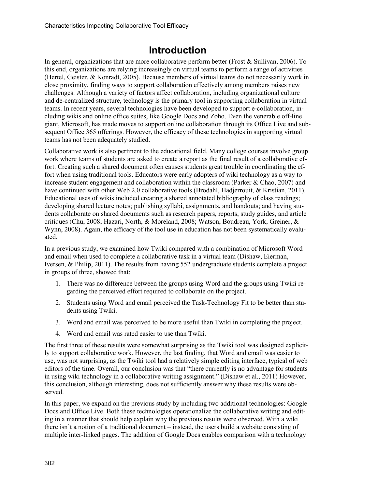# **Introduction**

In general, organizations that are more collaborative perform better (Frost & Sullivan, 2006). To this end, organizations are relying increasingly on virtual teams to perform a range of activities (Hertel, Geister, & Konradt, 2005). Because members of virtual teams do not necessarily work in close proximity, finding ways to support collaboration effectively among members raises new challenges. Although a variety of factors affect collaboration, including organizational culture and de-centralized structure, technology is the primary tool in supporting collaboration in virtual teams. In recent years, several technologies have been developed to support e-collaboration, including wikis and online office suites, like Google Docs and Zoho. Even the venerable off-line giant, Microsoft, has made moves to support online collaboration through its Office Live and subsequent Office 365 offerings. However, the efficacy of these technologies in supporting virtual teams has not been adequately studied.

Collaborative work is also pertinent to the educational field. Many college courses involve group work where teams of students are asked to create a report as the final result of a collaborative effort. Creating such a shared document often causes students great trouble in coordinating the effort when using traditional tools. Educators were early adopters of wiki technology as a way to increase student engagement and collaboration within the classroom (Parker & Chao, 2007) and have continued with other Web 2.0 collaborative tools (Brodahl, Hadjerrouit, & Kristian, 2011). Educational uses of wikis included creating a shared annotated bibliography of class readings; developing shared lecture notes; publishing syllabi, assignments, and handouts; and having students collaborate on shared documents such as research papers, reports, study guides, and article critiques (Chu, 2008; Hazari, North, & Moreland, 2008; Watson, Boudreau, York, Greiner, & Wynn, 2008). Again, the efficacy of the tool use in education has not been systematically evaluated.

In a previous study, we examined how Twiki compared with a combination of Microsoft Word and email when used to complete a collaborative task in a virtual team (Dishaw, Eierman, Iversen, & Philip, 2011). The results from having 552 undergraduate students complete a project in groups of three, showed that:

- 1. There was no difference between the groups using Word and the groups using Twiki regarding the perceived effort required to collaborate on the project.
- 2. Students using Word and email perceived the Task-Technology Fit to be better than students using Twiki.
- 3. Word and email was perceived to be more useful than Twiki in completing the project.
- 4. Word and email was rated easier to use than Twiki.

The first three of these results were somewhat surprising as the Twiki tool was designed explicitly to support collaborative work. However, the last finding, that Word and email was easier to use, was not surprising, as the Twiki tool had a relatively simple editing interface, typical of web editors of the time. Overall, our conclusion was that "there currently is no advantage for students in using wiki technology in a collaborative writing assignment." (Dishaw et al., 2011) However, this conclusion, although interesting, does not sufficiently answer why these results were observed.

In this paper, we expand on the previous study by including two additional technologies: Google Docs and Office Live. Both these technologies operationalize the collaborative writing and editing in a manner that should help explain why the previous results were observed. With a wiki there isn't a notion of a traditional document – instead, the users build a website consisting of multiple inter-linked pages. The addition of Google Docs enables comparison with a technology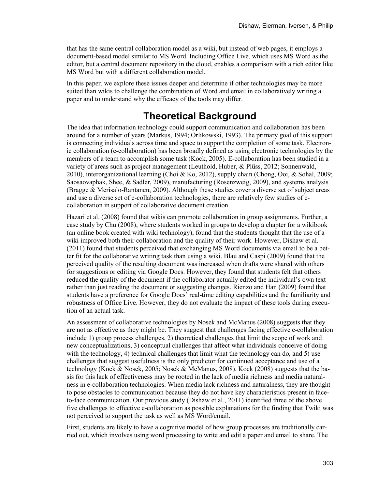that has the same central collaboration model as a wiki, but instead of web pages, it employs a document-based model similar to MS Word. Including Office Live, which uses MS Word as the editor, but a central document repository in the cloud, enables a comparison with a rich editor like MS Word but with a different collaboration model.

In this paper, we explore these issues deeper and determine if other technologies may be more suited than wikis to challenge the combination of Word and email in collaboratively writing a paper and to understand why the efficacy of the tools may differ.

# **Theoretical Background**

The idea that information technology could support communication and collaboration has been around for a number of years (Markus, 1994; Orlikowski, 1993). The primary goal of this support is connecting individuals across time and space to support the completion of some task. Electronic collaboration (e-collaboration) has been broadly defined as using electronic technologies by the members of a team to accomplish some task (Kock, 2005). E-collaboration has been studied in a variety of areas such as project management (Leuthold, Huber, & Plüss, 2012; Sonnenwald, 2010), interorganizational learning (Choi & Ko, 2012), supply chain (Chong, Ooi, & Sohal, 2009; Saosaovaphak, Shee, & Sadler, 2009), manufacturing (Rosenzweig, 2009), and systems analysis (Bragge & Merisalo-Rantanen, 2009). Although these studies cover a diverse set of subject areas and use a diverse set of e-collaboration technologies, there are relatively few studies of ecollaboration in support of collaborative document creation.

Hazari et al. (2008) found that wikis can promote collaboration in group assignments. Further, a case study by Chu (2008), where students worked in groups to develop a chapter for a wikibook (an online book created with wiki technology), found that the students thought that the use of a wiki improved both their collaboration and the quality of their work. However, Dishaw et al. (2011) found that students perceived that exchanging MS Word documents via email to be a better fit for the collaborative writing task than using a wiki. Blau and Caspi (2009) found that the perceived quality of the resulting document was increased when drafts were shared with others for suggestions or editing via Google Docs. However, they found that students felt that others reduced the quality of the document if the collaborator actually edited the individual's own text rather than just reading the document or suggesting changes. Rienzo and Han (2009) found that students have a preference for Google Docs' real-time editing capabilities and the familiarity and robustness of Office Live. However, they do not evaluate the impact of these tools during execution of an actual task.

An assessment of collaborative technologies by Nosek and McManus (2008) suggests that they are not as effective as they might be. They suggest that challenges facing effective e-collaboration include 1) group process challenges, 2) theoretical challenges that limit the scope of work and new conceptualizations, 3) conceptual challenges that affect what individuals conceive of doing with the technology, 4) technical challenges that limit what the technology can do, and 5) use challenges that suggest usefulness is the only predictor for continued acceptance and use of a technology (Kock & Nosek, 2005; Nosek & McManus, 2008). Kock (2008) suggests that the basis for this lack of effectiveness may be rooted in the lack of media richness and media naturalness in e-collaboration technologies. When media lack richness and naturalness, they are thought to pose obstacles to communication because they do not have key characteristics present in faceto-face communication. Our previous study (Dishaw et al., 2011) identified three of the above five challenges to effective e-collaboration as possible explanations for the finding that Twiki was not perceived to support the task as well as MS Word/email.

First, students are likely to have a cognitive model of how group processes are traditionally carried out, which involves using word processing to write and edit a paper and email to share. The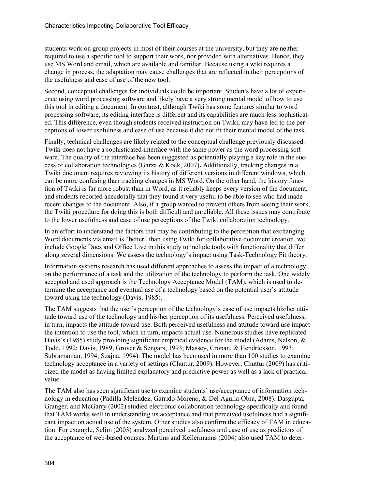students work on group projects in most of their courses at the university, but they are neither required to use a specific tool to support their work, nor provided with alternatives. Hence, they use MS Word and email, which are available and familiar. Because using a wiki requires a change in process, the adaptation may cause challenges that are reflected in their perceptions of the usefulness and ease of use of the new tool.

Second, conceptual challenges for individuals could be important. Students have a lot of experience using word processing software and likely have a very strong mental model of how to use this tool in editing a document. In contrast, although Twiki has some features similar to word processing software, its editing interface is different and its capabilities are much less sophisticated. This difference, even though students received instruction on Twiki, may have led to the perceptions of lower usefulness and ease of use because it did not fit their mental model of the task.

Finally, technical challenges are likely related to the conceptual challenge previously discussed. Twiki does not have a sophisticated interface with the same power as the word processing software. The quality of the interface has been suggested as potentially playing a key role in the success of collaboration technologies (Garza & Kock, 2007)**.** Additionally, tracking changes in a Twiki document requires reviewing its history of different versions in different windows, which can be more confusing than tracking changes in MS Word. On the other hand, the history function of Twiki is far more robust than in Word, as it reliably keeps every version of the document, and students reported anecdotally that they found it very useful to be able to see who had made recent changes to the document. Also, if a group wanted to prevent others from seeing their work, the Twiki procedure for doing this is both difficult and unreliable. All these issues may contribute to the lower usefulness and ease of use perceptions of the Twiki collaboration technology.

In an effort to understand the factors that may be contributing to the perception that exchanging Word documents via email is "better" than using Twiki for collaborative document creation, we include Google Docs and Office Live in this study to include tools with functionality that differ along several dimensions. We assess the technology's impact using Task-Technology Fit theory.

Information systems research has used different approaches to assess the impact of a technology on the performance of a task and the utilization of the technology to perform the task. One widely accepted and used approach is the Technology Acceptance Model (TAM), which is used to determine the acceptance and eventual use of a technology based on the potential user's attitude toward using the technology (Davis, 1985).

The TAM suggests that the user's perception of the technology's ease of use impacts his/her attitude toward use of the technology and his/her perception of its usefulness. Perceived usefulness, in turn, impacts the attitude toward use. Both perceived usefulness and attitude toward use impact the intention to use the tool, which in turn, impacts actual use. Numerous studies have replicated Davis's (1985) study providing significant empirical evidence for the model (Adams, Nelson,  $\&$ Todd, 1992; Davis, 1989; Grover & Sengars, 1993; Massey, Cronan, & Hendrickson, 1993; Subramanian, 1994; Szajna, 1994). The model has been used in more than 100 studies to examine technology acceptance in a variety of settings (Chuttur, 2009). However, Chuttur (2009) has criticized the model as having limited explanatory and predictive power as well as a lack of practical value.

The TAM also has seen significant use to examine students' use/acceptance of information technology in education (Padilla-Meléndez, Garrido-Moreno, & Del Aguila-Obra, 2008). Dasgupta, Granger, and McGarry (2002) studied electronic collaboration technology specifically and found that TAM works well in understanding its acceptance and that perceived usefulness had a significant impact on actual use of the system. Other studies also confirm the efficacy of TAM in education. For example, Selim (2003) analyzed perceived usefulness and ease of use as predictors of the acceptance of web-based courses. Martins and Kellermanns (2004) also used TAM to deter-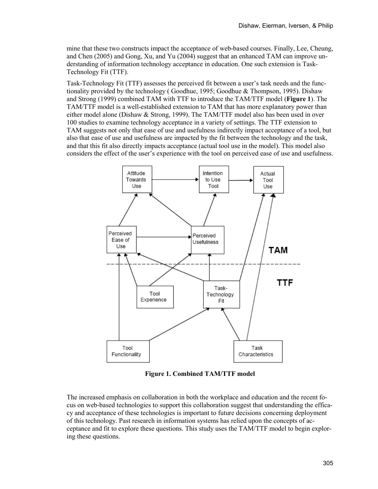mine that these two constructs impact the acceptance of web-based courses. Finally, Lee, Cheung, and Chen (2005) and Gong, Xu, and Yu (2004) suggest that an enhanced TAM can improve understanding of information technology acceptance in education. One such extension is Task-Technology Fit (TTF).

Task-Technology Fit (TTF) assesses the perceived fit between a user's task needs and the functionality provided by the technology ( Goodhue, 1995; Goodhue & Thompson, 1995). Dishaw and Strong (1999) combined TAM with TTF to introduce the TAM/TTF model (**[Figure 1](#page-4-0)**). The TAM/TTF model is a well-established extension to TAM that has more explanatory power than either model alone (Dishaw & Strong, 1999). The TAM/TTF model also has been used in over 100 studies to examine technology acceptance in a variety of settings. The TTF extension to TAM suggests not only that ease of use and usefulness indirectly impact acceptance of a tool, but also that ease of use and usefulness are impacted by the fit between the technology and the task, and that this fit also directly impacts acceptance (actual tool use in the model). This model also considers the effect of the user's experience with the tool on perceived ease of use and usefulness.



**Figure 1. Combined TAM/TTF model**

<span id="page-4-0"></span>The increased emphasis on collaboration in both the workplace and education and the recent focus on web-based technologies to support this collaboration suggest that understanding the efficacy and acceptance of these technologies is important to future decisions concerning deployment of this technology. Past research in information systems has relied upon the concepts of acceptance and fit to explore these questions. This study uses the TAM/TTF model to begin exploring these questions.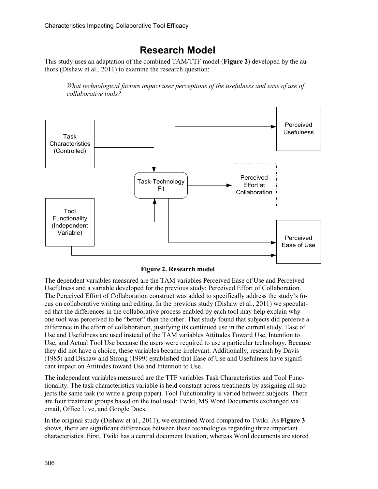# **Research Model**

This study uses an adaptation of the combined TAM/TTF model (**[Figure 2](#page-5-0)**) developed by the authors (Dishaw et al., 2011) to examine the research question:

*What technological factors impact user perceptions of the usefulness and ease of use of collaborative tools?*



**Figure 2. Research model**

<span id="page-5-0"></span>The dependent variables measured are the TAM variables Perceived Ease of Use and Perceived Usefulness and a variable developed for the previous study: Perceived Effort of Collaboration. The Perceived Effort of Collaboration construct was added to specifically address the study's focus on collaborative writing and editing. In the previous study (Dishaw et al., 2011) we speculated that the differences in the collaborative process enabled by each tool may help explain why one tool was perceived to be "better" than the other. That study found that subjects did perceive a difference in the effort of collaboration, justifying its continued use in the current study. Ease of Use and Usefulness are used instead of the TAM variables Attitudes Toward Use, Intention to Use, and Actual Tool Use because the users were required to use a particular technology. Because they did not have a choice, these variables became irrelevant. Additionally, research by Davis (1985) and Dishaw and Strong (1999) established that Ease of Use and Usefulness have significant impact on Attitudes toward Use and Intention to Use.

The independent variables measured are the TTF variables Task Characteristics and Tool Functionality. The task characteristics variable is held constant across treatments by assigning all subjects the same task (to write a group paper). Tool Functionality is varied between subjects. There are four treatment groups based on the tool used: Twiki, MS Word Documents exchanged via email, Office Live, and Google Docs.

In the original study (Dishaw et al., 2011), we examined Word compared to Twiki. As **[Figure 3](#page-6-0)** shows, there are significant differences between these technologies regarding three important characteristics. First, Twiki has a central document location, whereas Word documents are stored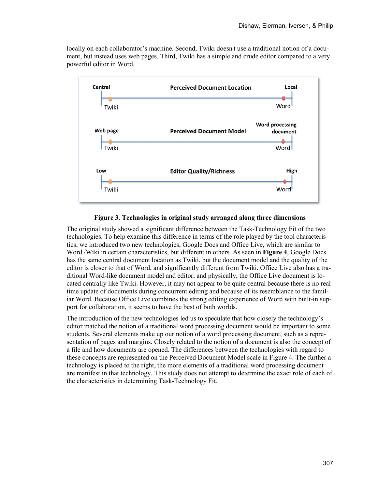locally on each collaborator's machine. Second, Twiki doesn't use a traditional notion of a document, but instead uses web pages. Third, Twiki has a simple and crude editor compared to a very powerful editor in Word.



#### **Figure 3. Technologies in original study arranged along three dimensions**

<span id="page-6-0"></span>The original study showed a significant difference between the Task-Technology Fit of the two technologies. To help examine this difference in terms of the role played by the tool characteristics, we introduced two new technologies, Google Docs and Office Live, which are similar to Word /Wiki in certain characteristics, but different in others. As seen in **[Figure](#page-7-0) 4**, Google Docs has the same central document location as Twiki, but the document model and the quality of the editor is closer to that of Word, and significantly different from Twiki. Office Live also has a traditional Word-like document model and editor, and physically, the Office Live document is located centrally like Twiki. However, it may not appear to be quite central because there is no real time update of documents during concurrent editing and because of its resemblance to the familiar Word. Because Office Live combines the strong editing experience of Word with built-in support for collaboration, it seems to have the best of both worlds.

The introduction of the new technologies led us to speculate that how closely the technology's editor matched the notion of a traditional word processing document would be important to some students. Several elements make up our notion of a word processing document, such as a representation of pages and margins. Closely related to the notion of a document is also the concept of a file and how documents are opened. The differences between the technologies with regard to these concepts are represented on the Perceived Document Model scale in Figure 4. The further a technology is placed to the right, the more elements of a traditional word processing document are manifest in that technology. This study does not attempt to determine the exact role of each of the characteristics in determining Task-Technology Fit.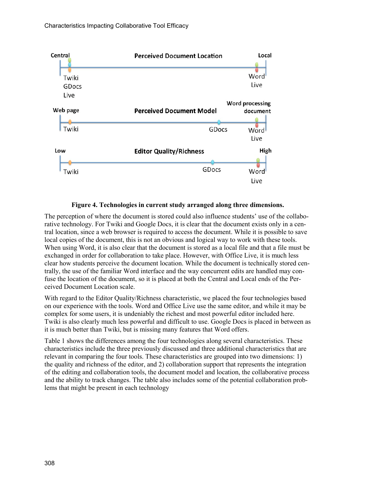

#### **Figure 4. Technologies in current study arranged along three dimensions.**

<span id="page-7-0"></span>The perception of where the document is stored could also influence students' use of the collaborative technology. For Twiki and Google Docs, it is clear that the document exists only in a central location, since a web browser is required to access the document. While it is possible to save local copies of the document, this is not an obvious and logical way to work with these tools. When using Word, it is also clear that the document is stored as a local file and that a file must be exchanged in order for collaboration to take place. However, with Office Live, it is much less clear how students perceive the document location. While the document is technically stored centrally, the use of the familiar Word interface and the way concurrent edits are handled may confuse the location of the document, so it is placed at both the Central and Local ends of the Perceived Document Location scale.

With regard to the Editor Quality/Richness characteristic, we placed the four technologies based on our experience with the tools. Word and Office Live use the same editor, and while it may be complex for some users, it is undeniably the richest and most powerful editor included here. Twiki is also clearly much less powerful and difficult to use. Google Docs is placed in between as it is much better than Twiki, but is missing many features that Word offers.

Table 1 shows the differences among the four technologies along several characteristics. These characteristics include the three previously discussed and three additional characteristics that are relevant in comparing the four tools. These characteristics are grouped into two dimensions: 1) the quality and richness of the editor, and 2) collaboration support that represents the integration of the editing and collaboration tools, the document model and location, the collaborative process and the ability to track changes. The table also includes some of the potential collaboration problems that might be present in each technology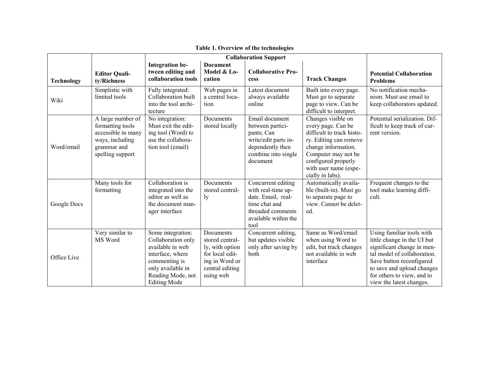|                   |                                                                                                                   |                                                                                                                                                                   |                                                                                                                      | <b>Collaboration Support</b>                                                                                                         |                                                                                                                                                                                                                   |                                                                                                                                                                                                                                           |
|-------------------|-------------------------------------------------------------------------------------------------------------------|-------------------------------------------------------------------------------------------------------------------------------------------------------------------|----------------------------------------------------------------------------------------------------------------------|--------------------------------------------------------------------------------------------------------------------------------------|-------------------------------------------------------------------------------------------------------------------------------------------------------------------------------------------------------------------|-------------------------------------------------------------------------------------------------------------------------------------------------------------------------------------------------------------------------------------------|
| <b>Technology</b> | <b>Editor Quali-</b><br>ty/Richness                                                                               | <b>Integration be-</b><br>tween editing and<br>collaboration tools                                                                                                | <b>Document</b><br>Model & Lo-<br>cation                                                                             | <b>Collaborative Pro-</b><br>cess                                                                                                    | <b>Track Changes</b>                                                                                                                                                                                              | <b>Potential Collaboration</b><br><b>Problems</b>                                                                                                                                                                                         |
| Wiki              | Simplistic with<br>limited tools                                                                                  | Fully integrated:<br>Collaboration built<br>into the tool archi-<br>tecture                                                                                       | Web pages in<br>a central loca-<br>tion                                                                              | Latest document<br>always available<br>online                                                                                        | Built into every page.<br>Must go to separate<br>page to view. Can be<br>difficult to interpret.                                                                                                                  | No notification mecha-<br>nism. Must use email to<br>keep collaborators updated.                                                                                                                                                          |
| Word/email        | A large number of<br>formatting tools<br>accessible in many<br>ways, including<br>grammar and<br>spelling support | No integration:<br>Must exit the edit-<br>ing tool (Word) to<br>use the collabora-<br>tion tool (email)                                                           | Documents<br>stored locally                                                                                          | Email document<br>between partici-<br>pants; Can<br>write/edit parts in-<br>dependently then<br>combine into single<br>document      | Changes visible on<br>every page. Can be<br>difficult to track histo-<br>ry. Editing can remove<br>change information.<br>Computer may not be<br>configured properly<br>with user name (espe-<br>cially in labs). | Potential serialization. Dif-<br>ficult to keep track of cur-<br>rent version.                                                                                                                                                            |
| Google Docs       | Many tools for<br>formatting                                                                                      | Collaboration is<br>integrated into the<br>editor as well as<br>the document man-<br>ager interface                                                               | Documents<br>stored central-<br>ly                                                                                   | Concurrent editing<br>with real-time up-<br>date. Email, real-<br>time chat and<br>threaded comments<br>available within the<br>tool | Automatically availa-<br>ble (built-in). Must go<br>to separate page to<br>view. Cannot be delet-<br>ed.                                                                                                          | Frequent changes to the<br>tool make learning diffi-<br>cult.                                                                                                                                                                             |
| Office Live       | Very similar to<br>MS Word                                                                                        | Some integration:<br>Collaboration only<br>available in web<br>interface, where<br>commenting is<br>only available in<br>Reading Mode, not<br><b>Editing Mode</b> | Documents<br>stored central-<br>ly, with option<br>for local edit-<br>ing in Word or<br>central editing<br>using web | Concurrent editing,<br>but updates visible<br>only after saving by<br>both                                                           | Same as Word/email<br>when using Word to<br>edit, but track changes<br>not available in web<br>interface                                                                                                          | Using familiar tools with<br>little change in the UI but<br>significant change in men-<br>tal model of collaboration.<br>Save button reconfigured<br>to save and upload changes<br>for others to view, and to<br>view the latest changes. |

**Table 1. Overview of the technologies**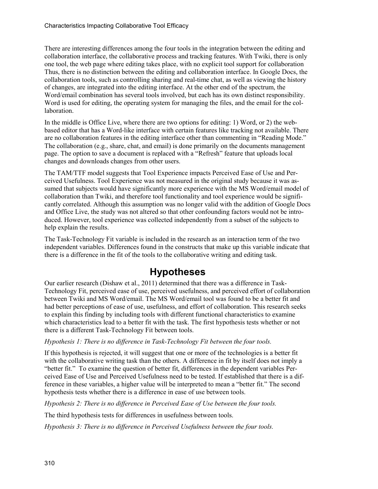There are interesting differences among the four tools in the integration between the editing and collaboration interface, the collaborative process and tracking features. With Twiki, there is only one tool, the web page where editing takes place, with no explicit tool support for collaboration Thus, there is no distinction between the editing and collaboration interface. In Google Docs, the collaboration tools, such as controlling sharing and real-time chat, as well as viewing the history of changes, are integrated into the editing interface. At the other end of the spectrum, the Word/email combination has several tools involved, but each has its own distinct responsibility. Word is used for editing, the operating system for managing the files, and the email for the collaboration.

In the middle is Office Live, where there are two options for editing: 1) Word, or 2) the webbased editor that has a Word-like interface with certain features like tracking not available. There are no collaboration features in the editing interface other than commenting in "Reading Mode." The collaboration (e.g., share, chat, and email) is done primarily on the documents management page. The option to save a document is replaced with a "Refresh" feature that uploads local changes and downloads changes from other users.

The TAM/TTF model suggests that Tool Experience impacts Perceived Ease of Use and Perceived Usefulness. Tool Experience was not measured in the original study because it was assumed that subjects would have significantly more experience with the MS Word/email model of collaboration than Twiki, and therefore tool functionality and tool experience would be significantly correlated. Although this assumption was no longer valid with the addition of Google Docs and Office Live, the study was not altered so that other confounding factors would not be introduced. However, tool experience was collected independently from a subset of the subjects to help explain the results.

The Task-Technology Fit variable is included in the research as an interaction term of the two independent variables. Differences found in the constructs that make up this variable indicate that there is a difference in the fit of the tools to the collaborative writing and editing task.

# **Hypotheses**

Our earlier research (Dishaw et al., 2011) determined that there was a difference in Task-Technology Fit, perceived ease of use, perceived usefulness, and perceived effort of collaboration between Twiki and MS Word/email. The MS Word/email tool was found to be a better fit and had better perceptions of ease of use, usefulness, and effort of collaboration. This research seeks to explain this finding by including tools with different functional characteristics to examine which characteristics lead to a better fit with the task. The first hypothesis tests whether or not there is a different Task-Technology Fit between tools.

#### *Hypothesis 1: There is no difference in Task-Technology Fit between the four tools.*

If this hypothesis is rejected, it will suggest that one or more of the technologies is a better fit with the collaborative writing task than the others. A difference in fit by itself does not imply a "better fit." To examine the question of better fit, differences in the dependent variables Perceived Ease of Use and Perceived Usefulness need to be tested. If established that there is a difference in these variables, a higher value will be interpreted to mean a "better fit." The second hypothesis tests whether there is a difference in ease of use between tools.

*Hypothesis 2: There is no difference in Perceived Ease of Use between the four tools.*

The third hypothesis tests for differences in usefulness between tools.

*Hypothesis 3: There is no difference in Perceived Usefulness between the four tools.*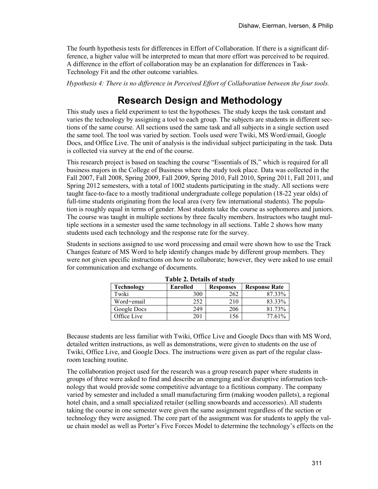The fourth hypothesis tests for differences in Effort of Collaboration. If there is a significant difference, a higher value will be interpreted to mean that more effort was perceived to be required. A difference in the effort of collaboration may be an explanation for differences in Task-Technology Fit and the other outcome variables.

*Hypothesis 4: There is no difference in Perceived Effort of Collaboration between the four tools.*

# **Research Design and Methodology**

This study uses a field experiment to test the hypotheses. The study keeps the task constant and varies the technology by assigning a tool to each group. The subjects are students in different sections of the same course. All sections used the same task and all subjects in a single section used the same tool. The tool was varied by section. Tools used were Twiki, MS Word/email, Google Docs, and Office Live. The unit of analysis is the individual subject participating in the task. Data is collected via survey at the end of the course.

This research project is based on teaching the course "Essentials of IS," which is required for all business majors in the College of Business where the study took place. Data was collected in the Fall 2007, Fall 2008, Spring 2009, Fall 2009, Spring 2010, Fall 2010, Spring 2011, Fall 2011, and Spring 2012 semesters, with a total of 1002 students participating in the study. All sections were taught face-to-face to a mostly traditional undergraduate college population (18-22 year olds) of full-time students originating from the local area (very few international students). The population is roughly equal in terms of gender. Most students take the course as sophomores and juniors. The course was taught in multiple sections by three faculty members. Instructors who taught multiple sections in a semester used the same technology in all sections. Table 2 shows how many students used each technology and the response rate for the survey.

Students in sections assigned to use word processing and email were shown how to use the Track Changes feature of MS Word to help identify changes made by different group members. They were not given specific instructions on how to collaborate; however, they were asked to use email for communication and exchange of documents.

|                   | Table 2. Details of study |                  |                      |
|-------------------|---------------------------|------------------|----------------------|
| <b>Technology</b> | Enrolled                  | <b>Responses</b> | <b>Response Rate</b> |
| Twiki             | 300                       | 262              | 87.33%               |
| Word+email        | 252                       | 210              | 83.33%               |
| Google Docs       | 249                       | 206              | 81 73%               |
| Office Live       | 201                       | .56              | 77.61%               |

**Table 2. Details of study**

Because students are less familiar with Twiki, Office Live and Google Docs than with MS Word, detailed written instructions, as well as demonstrations, were given to students on the use of Twiki, Office Live, and Google Docs. The instructions were given as part of the regular classroom teaching routine.

The collaboration project used for the research was a group research paper where students in groups of three were asked to find and describe an emerging and/or disruptive information technology that would provide some competitive advantage to a fictitious company. The company varied by semester and included a small manufacturing firm (making wooden pallets), a regional hotel chain, and a small specialized retailer (selling snowboards and accessories). All students taking the course in one semester were given the same assignment regardless of the section or technology they were assigned. The core part of the assignment was for students to apply the value chain model as well as Porter's Five Forces Model to determine the technology's effects on the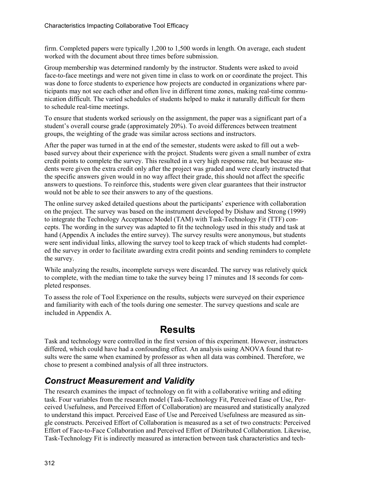firm. Completed papers were typically 1,200 to 1,500 words in length. On average, each student worked with the document about three times before submission.

Group membership was determined randomly by the instructor. Students were asked to avoid face-to-face meetings and were not given time in class to work on or coordinate the project. This was done to force students to experience how projects are conducted in organizations where participants may not see each other and often live in different time zones, making real-time communication difficult. The varied schedules of students helped to make it naturally difficult for them to schedule real-time meetings.

To ensure that students worked seriously on the assignment, the paper was a significant part of a student's overall course grade (approximately 20%). To avoid differences between treatment groups, the weighting of the grade was similar across sections and instructors.

After the paper was turned in at the end of the semester, students were asked to fill out a webbased survey about their experience with the project. Students were given a small number of extra credit points to complete the survey. This resulted in a very high response rate, but because students were given the extra credit only after the project was graded and were clearly instructed that the specific answers given would in no way affect their grade, this should not affect the specific answers to questions. To reinforce this, students were given clear guarantees that their instructor would not be able to see their answers to any of the questions.

The online survey asked detailed questions about the participants' experience with collaboration on the project. The survey was based on the instrument developed by Dishaw and Strong (1999) to integrate the Technology Acceptance Model (TAM) with Task-Technology Fit (TTF) concepts. The wording in the survey was adapted to fit the technology used in this study and task at hand (Appendix A includes the entire survey). The survey results were anonymous, but students were sent individual links, allowing the survey tool to keep track of which students had completed the survey in order to facilitate awarding extra credit points and sending reminders to complete the survey.

While analyzing the results, incomplete surveys were discarded. The survey was relatively quick to complete, with the median time to take the survey being 17 minutes and 18 seconds for completed responses.

To assess the role of Tool Experience on the results, subjects were surveyed on their experience and familiarity with each of the tools during one semester. The survey questions and scale are included in Appendix A.

## **Results**

Task and technology were controlled in the first version of this experiment. However, instructors differed, which could have had a confounding effect. An analysis using ANOVA found that results were the same when examined by professor as when all data was combined. Therefore, we chose to present a combined analysis of all three instructors.

### *Construct Measurement and Validity*

The research examines the impact of technology on fit with a collaborative writing and editing task. Four variables from the research model (Task-Technology Fit, Perceived Ease of Use, Perceived Usefulness, and Perceived Effort of Collaboration) are measured and statistically analyzed to understand this impact. Perceived Ease of Use and Perceived Usefulness are measured as single constructs. Perceived Effort of Collaboration is measured as a set of two constructs: Perceived Effort of Face-to-Face Collaboration and Perceived Effort of Distributed Collaboration. Likewise, Task-Technology Fit is indirectly measured as interaction between task characteristics and tech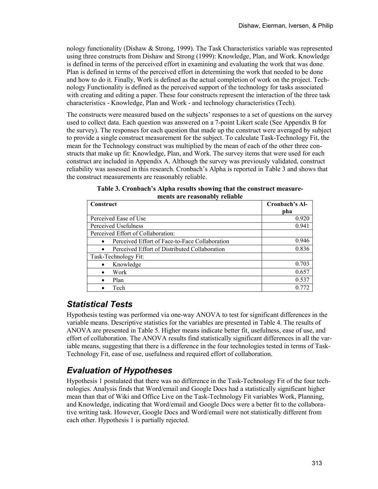nology functionality (Dishaw & Strong, 1999). The Task Characteristics variable was represented using three constructs from Dishaw and Strong (1999): Knowledge, Plan, and Work. Knowledge is defined in terms of the perceived effort in examining and evaluating the work that was done. Plan is defined in terms of the perceived effort in determining the work that needed to be done and how to do it. Finally, Work is defined as the actual completion of work on the project. Technology Functionality is defined as the perceived support of the technology for tasks associated with creating and editing a paper. These four constructs represent the interaction of the three task characteristics - Knowledge, Plan and Work - and technology characteristics (Tech).

The constructs were measured based on the subjects' responses to a set of questions on the survey used to collect data. Each question was answered on a 7-point Likert scale (See Appendix B for the survey). The responses for each question that made up the construct were averaged by subject to provide a single construct measurement for the subject. To calculate Task-Technology Fit, the mean for the Technology construct was multiplied by the mean of each of the other three constructs that make up fit: Knowledge, Plan, and Work. The survey items that were used for each construct are included in Appendix A. Although the survey was previously validated, construct reliability was assessed in this research. Cronbach's Alpha is reported in Table 3 and shows that the construct measurements are reasonably reliable.

| Construct                                      | Cronbach's Al- |
|------------------------------------------------|----------------|
|                                                | pha            |
| Perceived Ease of Use                          | 0.920          |
| Perceived Usefulness                           | 0.941          |
| Perceived Effort of Collaboration:             |                |
| Perceived Effort of Face-to-Face Collaboration | 0.946          |
| Perceived Effort of Distributed Collaboration  | 0.836          |
| Task-Technology Fit:                           |                |
| Knowledge                                      | 0.703          |
| Work                                           | 0.657          |
| Plan                                           | 0.537          |
| Tech                                           | 0.772          |

**Table 3. Cronbach's Alpha results showing that the construct measurements are reasonably reliable**

### *Statistical Tests*

Hypothesis testing was performed via one-way ANOVA to test for significant differences in the variable means. Descriptive statistics for the variables are presented in Table 4. The results of ANOVA are presented in Table 5. Higher means indicate better fit, usefulness, ease of use, and effort of collaboration. The ANOVA results find statistically significant differences in all the variable means, suggesting that there is a difference in the four technologies tested in terms of Task-Technology Fit, ease of use, usefulness and required effort of collaboration.

### *Evaluation of Hypotheses*

Hypothesis 1 postulated that there was no difference in the Task-Technology Fit of the four technologies. Analysis finds that Word/email and Google Docs had a statistically significant higher mean than that of Wiki and Office Live on the Task-Technology Fit variables Work, Planning, and Knowledge, indicating that Word/email and Google Docs were a better fit to the collaborative writing task. However, Google Docs and Word/email were not statistically different from each other. Hypothesis 1 is partially rejected.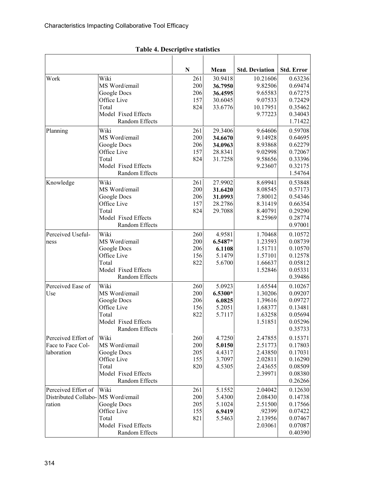#### **N Mean Std. Deviation Std. Error** Work Wiki MS Word/email Google Docs Office Live Total Model Fixed Effects Random Effects 261 200 206 157 824 30.9418 **36.7950 36.4595** 30.6045 33.6776 10.21606 9.82506 9.65583 9.07533 10.17951 9.77223 0.63236 0.69474 0.67275 0.72429 0.35462 0.34043 1.71422 Planning Wiki MS Word/email Google Docs Office Live Total Model Fixed Effects Random Effects 261 200 206 157 824 29.3406 **34.6670 34.0963** 28.8341 31.7258 9.64606 9.14928 8.93868 9.02998 9.58656 9.23607 0.59708 0.64695 0.62279 0.72067 0.33396 0.32175 1.54764 Knowledge Wiki MS Word/email Google Docs Office Live Total Model Fixed Effects Random Effects 261 200 206 157 824 27.9902 **31.6420 31.0993** 28.2786 29.7088 8.69941 8.08545 7.80012 8.31419 8.40791 8.25969 0.53848 0.57173 0.54346 0.66354 0.29290 0.28774 0.97001 Perceived Usefulness Wiki MS Word/email Google Docs Office Live Total Model Fixed Effects Random Effects 260 200 206 156 822 4.9581 **6.5487\* 6.1108** 5.1479 5.6700 1.70468 1.23593 1.51711 1.57101 1.66637 1.52846 0.10572 0.08739 0.10570 0.12578 0.05812 0.05331 0.39486 Perceived Ease of Use Wiki MS Word/email Google Docs Office Live Total Model Fixed Effects Random Effects 260 200 206 156 822 5.0923 **6.5300\* 6.0825** 5.2051 5.7117 1.65544 1.30206 1.39616 1.68377 1.63258 1.51851 0.10267 0.09207 0.09727 0.13481 0.05694 0.05296 0.35733 Perceived Effort of Face to Face Collaboration Wiki MS Word/email Google Docs Office Live Total Model Fixed Effects Random Effects 260 200 205 155 820 4.7250 **5.0150** 4.4317 3.7097 4.5305 2.47855 2.51773 2.43850 2.02811 2.43655 2.39971 0.15371 0.17803 0.17031 0.16290 0.08509 0.08380 0.26266 Perceived Effort of Distributed Collaboration Wiki MS Word/email Google Docs Office Live Total Model Fixed Effects 261 200 205 155 821 5.1552 5.4300 5.1024 **6.9419** 5.5463 2.04042 2.08430 2.51500 .92399 2.13956 2.03061 0.12630 0.14738 0.17566 0.07422 0.07467 0.07087

0.40390

Random Effects

#### **Table 4. Descriptive statistics**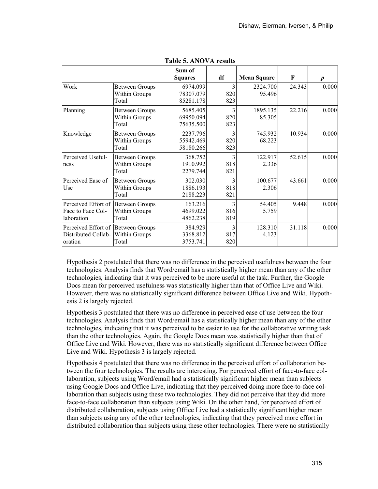|                                    |                       | Sum of<br><b>Squares</b> | df             | <b>Mean Square</b> | F      | $\boldsymbol{p}$ |
|------------------------------------|-----------------------|--------------------------|----------------|--------------------|--------|------------------|
| Work                               | <b>Between Groups</b> | 6974.099                 | 3              | 2324.700           | 24.343 | 0.000            |
|                                    | Within Groups         | 78307.079                | 820            | 95.496             |        |                  |
|                                    | Total                 | 85281.178                | 823            |                    |        |                  |
| Planning                           | <b>Between Groups</b> | 5685.405                 | 3              | 1895.135           | 22.216 | 0.000            |
|                                    | <b>Within Groups</b>  | 69950.094                | 820            | 85.305             |        |                  |
|                                    | Total                 | 75635.500                | 823            |                    |        |                  |
| Knowledge                          | <b>Between Groups</b> | 2237.796                 | 3              | 745.932            | 10.934 | 0.000            |
|                                    | <b>Within Groups</b>  | 55942.469                | 820            | 68.223             |        |                  |
|                                    | Total                 | 58180.266                | 823            |                    |        |                  |
| Perceived Useful-                  | <b>Between Groups</b> | 368.752                  | 3              | 122.917            | 52.615 | 0.000            |
| ness                               | Within Groups         | 1910.992                 | 818            | 2.336              |        |                  |
|                                    | Total                 | 2279.744                 | 821            |                    |        |                  |
| Perceived Ease of                  | <b>Between Groups</b> | 302.030                  | $\overline{3}$ | 100.677            | 43.661 | 0.000            |
| Use                                | Within Groups         | 1886.193                 | 818            | 2.306              |        |                  |
|                                    | Total                 | 2188.223                 | 821            |                    |        |                  |
| Perceived Effort of                | <b>Between Groups</b> | 163.216                  | 3              | 54.405             | 9.448  | 0.000            |
| Face to Face Col-                  | <b>Within Groups</b>  | 4699.022                 | 816            | 5.759              |        |                  |
| laboration                         | Total                 | 4862.238                 | 819            |                    |        |                  |
| Perceived Effort of Between Groups |                       | 384.929                  | 3              | 128.310            | 31.118 | 0.000            |
| Distributed Collab-                | Within Groups         | 3368.812                 | 817            | 4.123              |        |                  |
| oration                            | Total                 | 3753.741                 | 820            |                    |        |                  |

| <b>Table 5. ANOVA results</b> |
|-------------------------------|
|-------------------------------|

Hypothesis 2 postulated that there was no difference in the perceived usefulness between the four technologies. Analysis finds that Word/email has a statistically higher mean than any of the other technologies, indicating that it was perceived to be more useful at the task. Further, the Google Docs mean for perceived usefulness was statistically higher than that of Office Live and Wiki. However, there was no statistically significant difference between Office Live and Wiki. Hypothesis 2 is largely rejected.

Hypothesis 3 postulated that there was no difference in perceived ease of use between the four technologies. Analysis finds that Word/email has a statistically higher mean than any of the other technologies, indicating that it was perceived to be easier to use for the collaborative writing task than the other technologies. Again, the Google Docs mean was statistically higher than that of Office Live and Wiki. However, there was no statistically significant difference between Office Live and Wiki. Hypothesis 3 is largely rejected.

Hypothesis 4 postulated that there was no difference in the perceived effort of collaboration between the four technologies. The results are interesting. For perceived effort of face-to-face collaboration, subjects using Word/email had a statistically significant higher mean than subjects using Google Docs and Office Live, indicating that they perceived doing more face-to-face collaboration than subjects using these two technologies. They did not perceive that they did more face-to-face collaboration than subjects using Wiki. On the other hand, for perceived effort of distributed collaboration, subjects using Office Live had a statistically significant higher mean than subjects using any of the other technologies, indicating that they perceived more effort in distributed collaboration than subjects using these other technologies. There were no statistically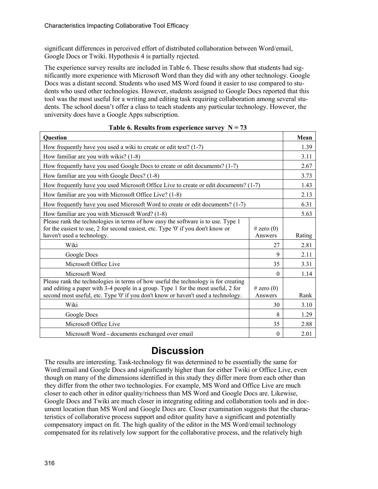significant differences in perceived effort of distributed collaboration between Word/email, Google Docs or Twiki. Hypothesis 4 is partially rejected.

The experience survey results are included in Table 6. These results show that students had significantly more experience with Microsoft Word than they did with any other technology. Google Docs was a distant second. Students who used MS Word found it easier to use compared to students who used other technologies. However, students assigned to Google Docs reported that this tool was the most useful for a writing and editing task requiring collaboration among several students. The school doesn't offer a class to teach students any particular technology. However, the university does have a Google Apps subscription.

| Question                                                                                                                                                                                                                                                     |                           | Mean   |
|--------------------------------------------------------------------------------------------------------------------------------------------------------------------------------------------------------------------------------------------------------------|---------------------------|--------|
| How frequently have you used a wiki to create or edit text? $(1-7)$                                                                                                                                                                                          |                           | 1.39   |
| How familiar are you with wikis? (1-8)                                                                                                                                                                                                                       |                           | 3.11   |
| How frequently have you used Google Docs to create or edit documents? (1-7)                                                                                                                                                                                  |                           | 2.67   |
| How familiar are you with Google Docs? (1-8)                                                                                                                                                                                                                 |                           | 3.73   |
| How frequently have you used Microsoft Office Live to create or edit documents? (1-7)                                                                                                                                                                        |                           | 1.43   |
| How familiar are you with Microsoft Office Live? (1-8)                                                                                                                                                                                                       |                           | 2.13   |
| How frequently have you used Microsoft Word to create or edit documents? (1-7)                                                                                                                                                                               |                           | 6.31   |
| How familiar are you with Microsoft Word? (1-8)                                                                                                                                                                                                              |                           | 5.63   |
| Please rank the technologies in terms of how easy the software is to use. Type 1<br>for the easiest to use, 2 for second easiest, etc. Type '0' if you don't know or<br>haven't used a technology.                                                           | $#$ zero $(0)$<br>Answers | Rating |
| Wiki                                                                                                                                                                                                                                                         | 27                        | 2.81   |
| Google Docs                                                                                                                                                                                                                                                  | 9                         | 2.11   |
| Microsoft Office Live                                                                                                                                                                                                                                        | 35                        | 3.31   |
| Microsoft Word                                                                                                                                                                                                                                               | $\theta$                  | 1.14   |
| Please rank the technologies in terms of how useful the technology is for creating<br>and editing a paper with 3-4 people in a group. Type 1 for the most useful, 2 for<br>second most useful, etc. Type '0' if you don't know or haven't used a technology. | $#$ zero $(0)$<br>Answers | Rank   |
| Wiki                                                                                                                                                                                                                                                         | 30                        | 3.10   |
| Google Docs                                                                                                                                                                                                                                                  | 8                         | 1.29   |
| Microsoft Office Live                                                                                                                                                                                                                                        | 35                        | 2.88   |
| Microsoft Word - documents exchanged over email                                                                                                                                                                                                              | $\theta$                  | 2.01   |

Table 6. Results from experience survey  $N = 73$ 

## **Discussion**

The results are interesting. Task-technology fit was determined to be essentially the same for Word/email and Google Docs and significantly higher than for either Twiki or Office Live, even though on many of the dimensions identified in this study they differ more from each other than they differ from the other two technologies. For example, MS Word and Office Live are much closer to each other in editor quality/richness than MS Word and Google Docs are. Likewise, Google Docs and Twiki are much closer in integrating editing and collaboration tools and in document location than MS Word and Google Docs are. Closer examination suggests that the characteristics of collaborative process support and editor quality have a significant and potentially compensatory impact on fit. The high quality of the editor in the MS Word/email technology compensated for its relatively low support for the collaborative process, and the relatively high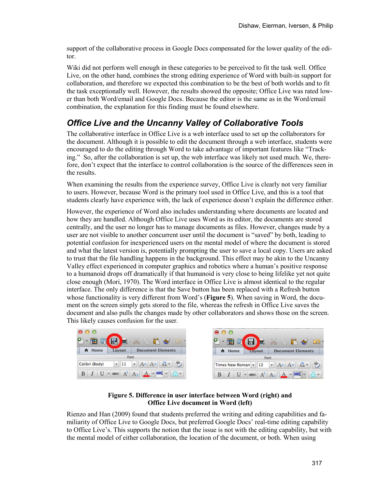support of the collaborative process in Google Docs compensated for the lower quality of the editor.

Wiki did not perform well enough in these categories to be perceived to fit the task well. Office Live, on the other hand, combines the strong editing experience of Word with built-in support for collaboration, and therefore we expected this combination to be the best of both worlds and to fit the task exceptionally well. However, the results showed the opposite; Office Live was rated lower than both Word/email and Google Docs. Because the editor is the same as in the Word/email combination, the explanation for this finding must be found elsewhere.

### *Office Live and the Uncanny Valley of Collaborative Tools*

The collaborative interface in Office Live is a web interface used to set up the collaborators for the document. Although it is possible to edit the document through a web interface, students were encouraged to do the editing through Word to take advantage of important features like "Tracking." So, after the collaboration is set up, the web interface was likely not used much. We, therefore, don't expect that the interface to control collaboration is the source of the differences seen in the results.

When examining the results from the experience survey, Office Live is clearly not very familiar to users. However, because Word is the primary tool used in Office Live, and this is a tool that students clearly have experience with, the lack of experience doesn't explain the difference either.

However, the experience of Word also includes understanding where documents are located and how they are handled. Although Office Live uses Word as its editor, the documents are stored centrally, and the user no longer has to manage documents as files. However, changes made by a user are not visible to another concurrent user until the document is "saved" by both, leading to potential confusion for inexperienced users on the mental model of where the document is stored and what the latest version is, potentially prompting the user to save a local copy. Users are asked to trust that the file handling happens in the background. This effect may be akin to the Uncanny Valley effect experienced in computer graphics and robotics where a human's positive response to a humanoid drops off dramatically if that humanoid is very close to being lifelike yet not quite close enough (Mori, 1970). The Word interface in Office Live is almost identical to the regular interface. The only difference is that the Save button has been replaced with a Refresh button whose functionality is very different from Word's (**[Figure 5](#page-16-0)**). When saving in Word, the document on the screen simply gets stored to the file, whereas the refresh in Office Live saves the document and also pulls the changes made by other collaborators and shows those on the screen. This likely causes confusion for the user.

|                                                                                 | $\bullet$                                                                         |
|---------------------------------------------------------------------------------|-----------------------------------------------------------------------------------|
| 田立図書文名名文                                                                        | $2 \cdot \mathbf{H} \circ \mathbf{H} \times \mathbf{H} \circ \mathbf{S}$          |
| A Home<br><b>Document Elements</b><br>Lavout                                    | A Home<br><b>Document Elements</b><br>Layout                                      |
| Font                                                                            | Font                                                                              |
| $ 11 - A^* $ $A^* $ $A^* $ $A^* $<br>Calibri (Body)<br>$\overline{\phantom{a}}$ | Times New Roman v 12 v $A - A - A - A^2$                                          |
| $ABC$ $A^2$ $A_2$ $A$ $\bullet$ $AB$ $\bullet$ $\bullet$<br>$\overline{U}$      | $\underline{U}$ $\bullet$ ABC $A^2$ $A_2$ $\underline{A}$ $\bullet$ ABC $\bullet$ |

**Figure 5. Difference in user interface between Word (right) and Office Live document in Word (left)** 

<span id="page-16-0"></span>Rienzo and Han (2009) found that students preferred the writing and editing capabilities and familiarity of Office Live to Google Docs, but preferred Google Docs' real-time editing capability to Office Live's. This supports the notion that the issue is not with the editing capability, but with the mental model of either collaboration, the location of the document, or both. When using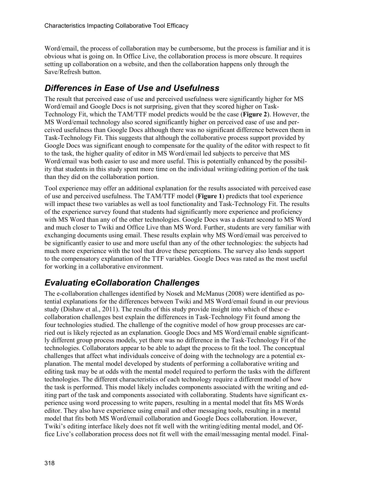Word/email, the process of collaboration may be cumbersome, but the process is familiar and it is obvious what is going on. In Office Live, the collaboration process is more obscure. It requires setting up collaboration on a website, and then the collaboration happens only through the Save/Refresh button.

### *Differences in Ease of Use and Usefulness*

The result that perceived ease of use and perceived usefulness were significantly higher for MS Word/email and Google Docs is not surprising, given that they scored higher on Task-Technology Fit, which the TAM/TTF model predicts would be the case (**[Figure 2](#page-5-0)**). However, the MS Word/email technology also scored significantly higher on perceived ease of use and perceived usefulness than Google Docs although there was no significant difference between them in Task-Technology Fit. This suggests that although the collaborative process support provided by Google Docs was significant enough to compensate for the quality of the editor with respect to fit to the task, the higher quality of editor in MS Word/email led subjects to perceive that MS Word/email was both easier to use and more useful. This is potentially enhanced by the possibility that students in this study spent more time on the individual writing/editing portion of the task than they did on the collaboration portion.

Tool experience may offer an additional explanation for the results associated with perceived ease of use and perceived usefulness. The TAM/TTF model (**[Figure 1](#page-4-0)**) predicts that tool experience will impact these two variables as well as tool functionality and Task-Technology Fit. The results of the experience survey found that students had significantly more experience and proficiency with MS Word than any of the other technologies. Google Docs was a distant second to MS Word and much closer to Twiki and Office Live than MS Word. Further, students are very familiar with exchanging documents using email. These results explain why MS Word/email was perceived to be significantly easier to use and more useful than any of the other technologies: the subjects had much more experience with the tool that drove these perceptions. The survey also lends support to the compensatory explanation of the TTF variables. Google Docs was rated as the most useful for working in a collaborative environment.

## *Evaluating eCollaboration Challenges*

The e-collaboration challenges identified by Nosek and McManus (2008) were identified as potential explanations for the differences between Twiki and MS Word/email found in our previous study (Dishaw et al., 2011). The results of this study provide insight into which of these ecollaboration challenges best explain the differences in Task-Technology Fit found among the four technologies studied. The challenge of the cognitive model of how group processes are carried out is likely rejected as an explanation. Google Docs and MS Word/email enable significantly different group process models, yet there was no difference in the Task-Technology Fit of the technologies. Collaborators appear to be able to adapt the process to fit the tool. The conceptual challenges that affect what individuals conceive of doing with the technology are a potential explanation. The mental model developed by students of performing a collaborative writing and editing task may be at odds with the mental model required to perform the tasks with the different technologies. The different characteristics of each technology require a different model of how the task is performed. This model likely includes components associated with the writing and editing part of the task and components associated with collaborating. Students have significant experience using word processing to write papers, resulting in a mental model that fits MS Words editor. They also have experience using email and other messaging tools, resulting in a mental model that fits both MS Word/email collaboration and Google Docs collaboration. However, Twiki's editing interface likely does not fit well with the writing/editing mental model, and Office Live's collaboration process does not fit well with the email/messaging mental model. Final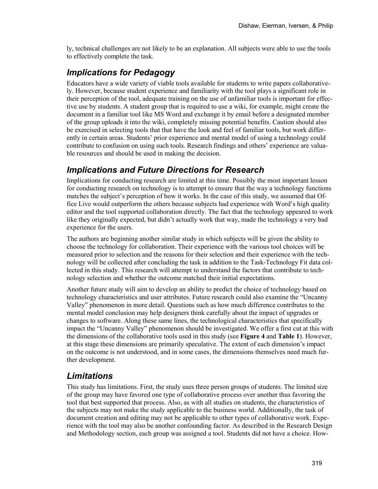ly, technical challenges are not likely to be an explanation. All subjects were able to use the tools to effectively complete the task.

### *Implications for Pedagogy*

Educators have a wide variety of viable tools available for students to write papers collaboratively. However, because student experience and familiarity with the tool plays a significant role in their perception of the tool, adequate training on the use of unfamiliar tools is important for effective use by students. A student group that is required to use a wiki, for example, might create the document in a familiar tool like MS Word and exchange it by email before a designated member of the group uploads it into the wiki, completely missing potential benefits. Caution should also be exercised in selecting tools that that have the look and feel of familiar tools, but work differently in certain areas. Students' prior experience and mental model of using a technology could contribute to confusion on using such tools. Research findings and others' experience are valuable resources and should be used in making the decision.

### *Implications and Future Directions for Research*

Implications for conducting research are limited at this time. Possibly the most important lesson for conducting research on technology is to attempt to ensure that the way a technology functions matches the subject's perception of how it works. In the case of this study, we assumed that Office Live would outperform the others because subjects had experience with Word's high quality editor and the tool supported collaboration directly. The fact that the technology appeared to work like they originally expected, but didn't actually work that way, made the technology a very bad experience for the users.

The authors are beginning another similar study in which subjects will be given the ability to choose the technology for collaboration. Their experience with the various tool choices will be measured prior to selection and the reasons for their selection and their experience with the technology will be collected after concluding the task in addition to the Task-Technology Fit data collected in this study. This research will attempt to understand the factors that contribute to technology selection and whether the outcome matched their initial expectations.

Another future study will aim to develop an ability to predict the choice of technology based on technology characteristics and user attributes. Future research could also examine the "Uncanny Valley" phenomenon in more detail. Questions such as how much difference contributes to the mental model conclusion may help designers think carefully about the impact of upgrades or changes to software. Along these same lines, the technological characteristics that specifically impact the "Uncanny Valley" phenomenon should be investigated. We offer a first cut at this with the dimensions of the collaborative tools used in this study (see **[Figure](#page-7-0) 4** and **Table 1**). However, at this stage these dimensions are primarily speculative. The extent of each dimension's impact on the outcome is not understood, and in some cases, the dimensions themselves need much further development.

### *Limitations*

This study has limitations. First, the study uses three person groups of students. The limited size of the group may have favored one type of collaborative process over another thus favoring the tool that best supported that process. Also, as with all studies on students, the characteristics of the subjects may not make the study applicable to the business world. Additionally, the task of document creation and editing may not be applicable to other types of collaborative work. Experience with the tool may also be another confounding factor. As described in the Research Design and Methodology section, each group was assigned a tool. Students did not have a choice. How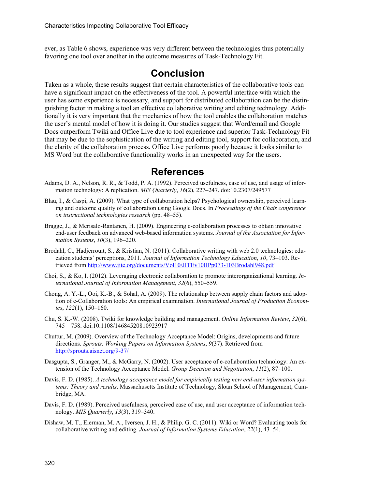ever, as Table 6 shows, experience was very different between the technologies thus potentially favoring one tool over another in the outcome measures of Task-Technology Fit.

### **Conclusion**

Taken as a whole, these results suggest that certain characteristics of the collaborative tools can have a significant impact on the effectiveness of the tool. A powerful interface with which the user has some experience is necessary, and support for distributed collaboration can be the distinguishing factor in making a tool an effective collaborative writing and editing technology. Additionally it is very important that the mechanics of how the tool enables the collaboration matches the user's mental model of how it is doing it. Our studies suggest that Word/email and Google Docs outperform Twiki and Office Live due to tool experience and superior Task-Technology Fit that may be due to the sophistication of the writing and editing tool, support for collaboration, and the clarity of the collaboration process. Office Live performs poorly because it looks similar to MS Word but the collaborative functionality works in an unexpected way for the users.

### **References**

- Adams, D. A., Nelson, R. R., & Todd, P. A. (1992). Perceived usefulness, ease of use, and usage of information technology: A replication. *MIS Quarterly*, *16*(2), 227–247. doi:10.2307/249577
- Blau, I., & Caspi, A. (2009). What type of collaboration helps? Psychological ownership, perceived learning and outcome quality of collaboration using Google Docs. In *Proceedings of the Chais conference on instructional technologies research* (pp. 48–55).
- Bragge, J., & Merisalo-Rantanen, H. (2009). Engineering e-collaboration processes to obtain innovative end-user feedback on advanced web-based information systems. *Journal of the Association for Information Systems*, *10*(3), 196–220.
- Brodahl, C., Hadjerrouit, S., & Kristian, N. (2011). Collaborative writing with web 2.0 technologies: education students' perceptions, 2011. *Journal of Information Technology Education*, *10*, 73–103. Retrieved from<http://www.jite.org/documents/Vol10/JITEv10IIPp073-103Brodahl948.pdf>
- Choi, S., & Ko, I. (2012). Leveraging electronic collaboration to promote interorganizational learning. *International Journal of Information Management*, *32*(6), 550–559.
- Chong, A. Y.-L., Ooi, K.-B., & Sohal, A. (2009). The relationship between supply chain factors and adoption of e-Collaboration tools: An empirical examination. *International Journal of Production Economics*, *122*(1), 150–160.
- Chu, S. K.-W. (2008). Twiki for knowledge building and management. *Online Information Review*, *32*(6), 745 – 758. doi:10.1108/14684520810923917
- Chuttur, M. (2009). Overview of the Technology Acceptance Model: Origins, developments and future directions. *Sprouts: Working Papers on Information Systems*, *9*(37). Retrieved from <http://sprouts.aisnet.org/9-37/>
- Dasgupta, S., Granger, M., & McGarry, N. (2002). User acceptance of e-collaboration technology: An extension of the Technology Acceptance Model. *Group Decision and Negotiation*, *11*(2), 87–100.
- Davis, F. D. (1985). *A technology acceptance model for empirically testing new end-user information systems: Theory and results*. Massachusetts Institute of Technology, Sloan School of Management, Cambridge, MA.
- Davis, F. D. (1989). Perceived usefulness, perceived ease of use, and user acceptance of information technology. *MIS Quarterly*, *13*(3), 319–340.
- Dishaw, M. T., Eierman, M. A., Iversen, J. H., & Philip. G. C. (2011). Wiki or Word? Evaluating tools for collaborative writing and editing. *Journal of Information Systems Education*, *22*(1), 43–54.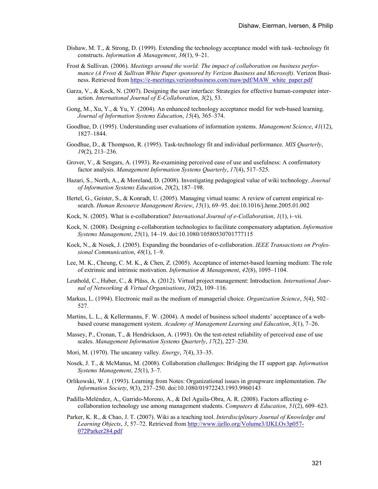- Dishaw, M. T., & Strong, D. (1999). Extending the technology acceptance model with task–technology fit constructs. *Information & Management*, *36*(1), 9–21.
- Frost & Sullivan. (2006). *Meetings around the world: The impact of collaboration on business performance (A Frost & Sullivan White Paper sponsored by Verizon Business and Microsoft)*. Verizon Business. Retrieved fro[m https://e-meetings.verizonbusiness.com/maw/pdf/MAW\\_white\\_paper.pdf](https://e-meetings.verizonbusiness.com/maw/pdf/MAW_white_paper.pdf)
- Garza, V., & Kock, N. (2007). Designing the user interface: Strategies for effective human-computer interaction. *International Journal of E-Collaboration*, *3*(2), 53.
- Gong, M., Xu, Y., & Yu, Y. (2004). An enhanced technology acceptance model for web-based learning. *Journal of Information Systems Education*, *15*(4), 365–374.
- Goodhue, D. (1995). Understanding user evaluations of information systems. *Management Science*, *41*(12), 1827–1844.
- Goodhue, D., & Thompson, R. (1995). Task-technology fit and individual performance. *MIS Quarterly*, *19*(2), 213–236.
- Grover, V., & Sengars, A. (1993). Re-examining perceived ease of use and usefulness: A confirmatory factor analysis. *Management Information Systems Quarterly*, *17*(4), 517–525.
- Hazari, S., North, A., & Moreland, D. (2008). Investigating pedagogical value of wiki technology. *Journal of Information Systems Education*, *20*(2), 187–198.
- Hertel, G., Geister, S., & Konradt, U. (2005). Managing virtual teams: A review of current empirical research. *Human Resource Management Review*, *15*(1), 69–95. doi:10.1016/j.hrmr.2005.01.002
- Kock, N. (2005). What is e-collaboration? *International Journal of e-Collaboration*, *1*(1), i–vii.
- Kock, N. (2008). Designing e-collaboration technologies to facilitate compensatory adaptation. *Information Systems Management*, *25*(1), 14–19. doi:10.1080/10580530701777115
- Kock, N., & Nosek, J. (2005). Expanding the boundaries of e-collaboration. *IEEE Transactions on Professional Communication*, *48*(1), 1–9.
- Lee, M. K., Cheung, C. M. K., & Chen, Z. (2005). Acceptance of internet-based learning medium: The role of extrinsic and intrinsic motivation. *Information & Management*, *42*(8), 1095–1104.
- Leuthold, C., Huber, C., & Plüss, A. (2012). Virtual project management: Introduction. *International Journal of Networking & Virtual Organisations*, *10*(2), 109–116.
- Markus, L. (1994). Electronic mail as the medium of managerial choice. *Organization Science*, *5*(4), 502– 527.
- Martins, L. L., & Kellermanns, F. W. (2004). A model of business school students' acceptance of a webbased course management system. *Academy of Management Learning and Education*, *3*(1), 7–26.
- Massey, P., Cronan, T., & Hendrickson, A. (1993). On the test-retest reliability of perceived ease of use scales. *Management Information Systems Quarterly*, *17*(2), 227–230.
- Mori, M. (1970). The uncanny valley. *Energy*, *7*(4), 33–35.
- Nosek, J. T., & McManus, M. (2008). Collaboration challenges: Bridging the IT support gap. *Information Systems Management*, *25*(1), 3–7.
- Orlikowski, W. J. (1993). Learning from Notes: Organizational issues in groupware implementation. *The Information Society*, *9*(3), 237–250. doi:10.1080/01972243.1993.9960143
- Padilla-Meléndez, A., Garrido-Moreno, A., & Del Aguila-Obra, A. R. (2008). Factors affecting ecollaboration technology use among management students. *Computers & Education*, *51*(2), 609–623.
- Parker, K. R., & Chao, J. T. (2007). Wiki as a teaching tool. *Interdisciplinary Journal of Knowledge and Learning Objects*, *3*, 57–72. Retrieved from [http://www.ijello.org/Volume3/IJKLOv3p057-](http://www.ijello.org/Volume3/IJKLOv3p057-072Parker284.pdf) [072Parker284.pdf](http://www.ijello.org/Volume3/IJKLOv3p057-072Parker284.pdf)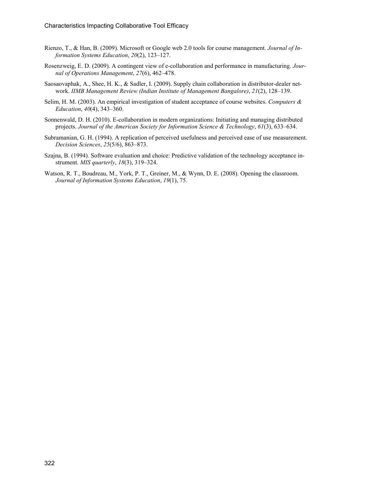- Rienzo, T., & Han, B. (2009). Microsoft or Google web 2.0 tools for course management. *Journal of Information Systems Education*, *20*(2), 123–127.
- Rosenzweig, E. D. (2009). A contingent view of e-collaboration and performance in manufacturing. *Journal of Operations Management*, *27*(6), 462–478.
- Saosaovaphak, A., Shee, H. K., & Sadler, I. (2009). Supply chain collaboration in distributor-dealer network. *IIMB Management Review (Indian Institute of Management Bangalore)*, *21*(2), 128–139.
- Selim, H. M. (2003). An empirical investigation of student acceptance of course websites. *Computers & Education*, *40*(4), 343–360.
- Sonnenwald, D. H. (2010). E-collaboration in modern organizations: Initiating and managing distributed projects. *Journal of the American Society for Information Science & Technology*, *61*(3), 633–634.
- Subramanian, G. H. (1994). A replication of perceived usefulness and perceived ease of use measurement. *Decision Sciences*, *25*(5/6), 863–873.
- Szajna, B. (1994). Software evaluation and choice: Predictive validation of the technology acceptance instrument. *MIS quarterly*, *18*(3), 319–324.
- Watson, R. T., Boudreau, M., York, P. T., Greiner, M., & Wynn, D. E. (2008). Opening the classroom. *Journal of Information Systems Education*, *19*(1), 75.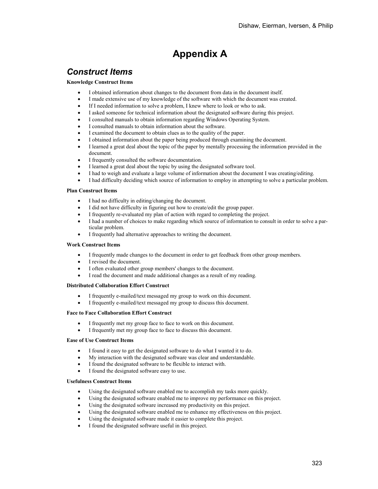# **Appendix A**

### *Construct Items*

#### **Knowledge Construct Items**

- I obtained information about changes to the document from data in the document itself.
- I made extensive use of my knowledge of the software with which the document was created.
- If I needed information to solve a problem, I knew where to look or who to ask.
- I asked someone for technical information about the designated software during this project.
- I consulted manuals to obtain information regarding Windows Operating System.
- I consulted manuals to obtain information about the software.
- I examined the document to obtain clues as to the quality of the paper.
- I obtained information about the paper being produced through examining the document.
- I learned a great deal about the topic of the paper by mentally processing the information provided in the document.
- I frequently consulted the software documentation.
- I learned a great deal about the topic by using the designated software tool.
- I had to weigh and evaluate a large volume of information about the document I was creating/editing.
- I had difficulty deciding which source of information to employ in attempting to solve a particular problem.

#### **Plan Construct Items**

- I had no difficulty in editing/changing the document.
- I did not have difficulty in figuring out how to create/edit the group paper.
- I frequently re-evaluated my plan of action with regard to completing the project.
- I had a number of choices to make regarding which source of information to consult in order to solve a particular problem.
- I frequently had alternative approaches to writing the document.

#### **Work Construct Items**

- I frequently made changes to the document in order to get feedback from other group members.
- I revised the document.
- I often evaluated other group members' changes to the document.
- I read the document and made additional changes as a result of my reading.

#### **Distributed Collaboration Effort Construct**

- I frequently e-mailed/text messaged my group to work on this document.
- I frequently e-mailed/text messaged my group to discuss this document.

#### **Face to Face Collaboration Effort Construct**

- I frequently met my group face to face to work on this document.
- I frequently met my group face to face to discuss this document.

#### **Ease of Use Construct Items**

- I found it easy to get the designated software to do what I wanted it to do.
- My interaction with the designated software was clear and understandable.
- I found the designated software to be flexible to interact with.
- I found the designated software easy to use.

#### **Usefulness Construct Items**

- Using the designated software enabled me to accomplish my tasks more quickly.
- Using the designated software enabled me to improve my performance on this project.
- Using the designated software increased my productivity on this project.
- Using the designated software enabled me to enhance my effectiveness on this project.
- Using the designated software made it easier to complete this project.
- I found the designated software useful in this project.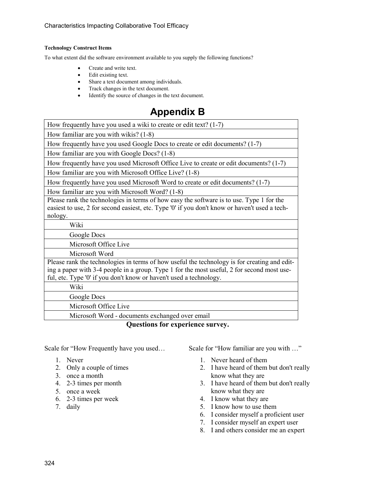#### **Technology Construct Items**

To what extent did the software environment available to you supply the following functions?

- Create and write text.
- Edit existing text.
- Share a text document among individuals.<br>• Track changes in the text document.
- Track changes in the text document.<br>• Identify the source of changes in the
- Identify the source of changes in the text document.

# **Appendix B**

| How frequently have you used a wiki to create or edit text? $(1-7)$                                                                                                                                                                                              |
|------------------------------------------------------------------------------------------------------------------------------------------------------------------------------------------------------------------------------------------------------------------|
| How familiar are you with wikis? (1-8)                                                                                                                                                                                                                           |
| How frequently have you used Google Docs to create or edit documents? (1-7)                                                                                                                                                                                      |
| How familiar are you with Google Docs? (1-8)                                                                                                                                                                                                                     |
| How frequently have you used Microsoft Office Live to create or edit documents? (1-7)                                                                                                                                                                            |
| How familiar are you with Microsoft Office Live? (1-8)                                                                                                                                                                                                           |
| How frequently have you used Microsoft Word to create or edit documents? (1-7)                                                                                                                                                                                   |
| How familiar are you with Microsoft Word? (1-8)                                                                                                                                                                                                                  |
| Please rank the technologies in terms of how easy the software is to use. Type 1 for the<br>easiest to use, 2 for second easiest, etc. Type '0' if you don't know or haven't used a tech-<br>nology.                                                             |
| Wiki                                                                                                                                                                                                                                                             |
|                                                                                                                                                                                                                                                                  |
| Google Docs                                                                                                                                                                                                                                                      |
| Microsoft Office Live                                                                                                                                                                                                                                            |
| Microsoft Word                                                                                                                                                                                                                                                   |
| Please rank the technologies in terms of how useful the technology is for creating and edit-<br>ing a paper with 3-4 people in a group. Type 1 for the most useful, 2 for second most use-<br>ful, etc. Type '0' if you don't know or haven't used a technology. |
| Wiki                                                                                                                                                                                                                                                             |
| Google Docs                                                                                                                                                                                                                                                      |
| Microsoft Office Live                                                                                                                                                                                                                                            |

**Questions for experience survey.**

Scale for "How Frequently have you used…

- 1. Never
- 2. Only a couple of times
- 3. once a month
- 4. 2-3 times per month
- 5. once a week
- 6. 2-3 times per week
- 7. daily

Scale for "How familiar are you with …"

- 1. Never heard of them
- 2. I have heard of them but don't really know what they are
- 3. I have heard of them but don't really know what they are
- 4. I know what they are
- 5. I know how to use them
- 6. I consider myself a proficient user
- 7. I consider myself an expert user
- 8. I and others consider me an expert